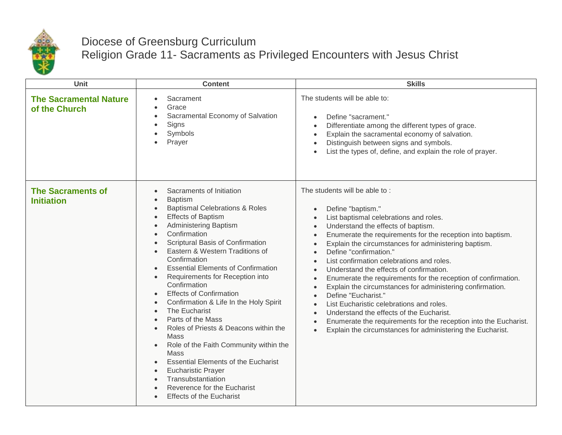

## Diocese of Greensburg Curriculum

Religion Grade 11- Sacraments as Privileged Encounters with Jesus Christ

| <b>Unit</b>                                    | <b>Content</b>                                                                                                                                                                                                                                                                                                                                                                                                                                                                                                                                                                                                                                                                                                                                                                                                                                                                                                                                   | <b>Skills</b>                                                                                                                                                                                                                                                                                                                                                                                                                                                                                                                                                                                                                                                                                                                                                                                                                                                                                                                                   |
|------------------------------------------------|--------------------------------------------------------------------------------------------------------------------------------------------------------------------------------------------------------------------------------------------------------------------------------------------------------------------------------------------------------------------------------------------------------------------------------------------------------------------------------------------------------------------------------------------------------------------------------------------------------------------------------------------------------------------------------------------------------------------------------------------------------------------------------------------------------------------------------------------------------------------------------------------------------------------------------------------------|-------------------------------------------------------------------------------------------------------------------------------------------------------------------------------------------------------------------------------------------------------------------------------------------------------------------------------------------------------------------------------------------------------------------------------------------------------------------------------------------------------------------------------------------------------------------------------------------------------------------------------------------------------------------------------------------------------------------------------------------------------------------------------------------------------------------------------------------------------------------------------------------------------------------------------------------------|
| <b>The Sacramental Nature</b><br>of the Church | Sacrament<br>$\bullet$<br>Grace<br>$\bullet$<br>Sacramental Economy of Salvation<br>$\bullet$<br>Signs<br>$\bullet$<br>Symbols<br>٠<br>Prayer                                                                                                                                                                                                                                                                                                                                                                                                                                                                                                                                                                                                                                                                                                                                                                                                    | The students will be able to:<br>Define "sacrament."<br>$\bullet$<br>Differentiate among the different types of grace.<br>$\bullet$<br>Explain the sacramental economy of salvation.<br>$\bullet$<br>Distinguish between signs and symbols.<br>List the types of, define, and explain the role of prayer.                                                                                                                                                                                                                                                                                                                                                                                                                                                                                                                                                                                                                                       |
| <b>The Sacraments of</b><br><b>Initiation</b>  | Sacraments of Initiation<br><b>Baptism</b><br>$\bullet$<br><b>Baptismal Celebrations &amp; Roles</b><br>$\bullet$<br><b>Effects of Baptism</b><br>$\bullet$<br>Administering Baptism<br>$\bullet$<br>Confirmation<br>$\bullet$<br>Scriptural Basis of Confirmation<br>Eastern & Western Traditions of<br>$\bullet$<br>Confirmation<br><b>Essential Elements of Confirmation</b><br>Requirements for Reception into<br>$\bullet$<br>Confirmation<br><b>Effects of Confirmation</b><br>$\bullet$<br>Confirmation & Life In the Holy Spirit<br>$\bullet$<br>The Eucharist<br>$\bullet$<br>Parts of the Mass<br>Roles of Priests & Deacons within the<br>$\bullet$<br><b>Mass</b><br>Role of the Faith Community within the<br>$\bullet$<br><b>Mass</b><br><b>Essential Elements of the Eucharist</b><br><b>Eucharistic Prayer</b><br>$\bullet$<br>Transubstantiation<br>Reverence for the Eucharist<br><b>Effects of the Eucharist</b><br>$\bullet$ | The students will be able to:<br>Define "baptism."<br>$\bullet$<br>List baptismal celebrations and roles.<br>Understand the effects of baptism.<br>$\bullet$<br>Enumerate the requirements for the reception into baptism.<br>$\bullet$<br>Explain the circumstances for administering baptism.<br>$\bullet$<br>Define "confirmation."<br>$\bullet$<br>List confirmation celebrations and roles.<br>$\bullet$<br>Understand the effects of confirmation.<br>$\bullet$<br>Enumerate the requirements for the reception of confirmation.<br>$\bullet$<br>Explain the circumstances for administering confirmation.<br>$\bullet$<br>Define "Eucharist."<br>$\bullet$<br>List Eucharistic celebrations and roles.<br>$\bullet$<br>Understand the effects of the Eucharist.<br>$\bullet$<br>Enumerate the requirements for the reception into the Eucharist.<br>$\bullet$<br>Explain the circumstances for administering the Eucharist.<br>$\bullet$ |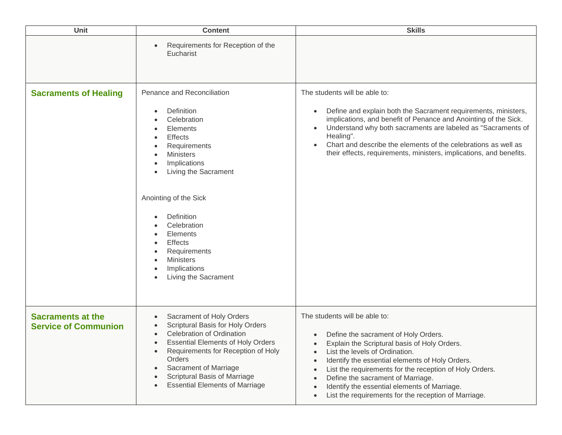| Unit                                                    | <b>Content</b>                                                                                                                                                                                                                                                                                                                                                                                                                                                      | <b>Skills</b>                                                                                                                                                                                                                                                                                                                                                                                                                                                                                                 |
|---------------------------------------------------------|---------------------------------------------------------------------------------------------------------------------------------------------------------------------------------------------------------------------------------------------------------------------------------------------------------------------------------------------------------------------------------------------------------------------------------------------------------------------|---------------------------------------------------------------------------------------------------------------------------------------------------------------------------------------------------------------------------------------------------------------------------------------------------------------------------------------------------------------------------------------------------------------------------------------------------------------------------------------------------------------|
|                                                         | Requirements for Reception of the<br>Eucharist                                                                                                                                                                                                                                                                                                                                                                                                                      |                                                                                                                                                                                                                                                                                                                                                                                                                                                                                                               |
| <b>Sacraments of Healing</b>                            | Penance and Reconciliation<br>Definition<br>$\bullet$<br>Celebration<br>Elements<br>$\bullet$<br><b>Effects</b><br>$\bullet$<br>Requirements<br>$\bullet$<br><b>Ministers</b><br>$\bullet$<br>Implications<br>$\bullet$<br>Living the Sacrament<br>$\bullet$<br>Anointing of the Sick<br>Definition<br>Celebration<br>Elements<br><b>Effects</b><br>Requirements<br><b>Ministers</b><br>$\bullet$<br>Implications<br>$\bullet$<br>Living the Sacrament<br>$\bullet$ | The students will be able to:<br>Define and explain both the Sacrament requirements, ministers,<br>$\bullet$<br>implications, and benefit of Penance and Anointing of the Sick.<br>Understand why both sacraments are labeled as "Sacraments of<br>$\bullet$<br>Healing".<br>Chart and describe the elements of the celebrations as well as<br>$\bullet$<br>their effects, requirements, ministers, implications, and benefits.                                                                               |
| <b>Sacraments at the</b><br><b>Service of Communion</b> | Sacrament of Holy Orders<br>$\bullet$<br>Scriptural Basis for Holy Orders<br><b>Celebration of Ordination</b><br>$\bullet$<br><b>Essential Elements of Holy Orders</b><br>Requirements for Reception of Holy<br>$\bullet$<br>Orders<br>Sacrament of Marriage<br>$\bullet$<br>Scriptural Basis of Marriage<br>$\bullet$<br><b>Essential Elements of Marriage</b><br>$\bullet$                                                                                        | The students will be able to:<br>Define the sacrament of Holy Orders.<br>$\bullet$<br>Explain the Scriptural basis of Holy Orders.<br>List the levels of Ordination.<br>$\bullet$<br>Identify the essential elements of Holy Orders.<br>$\bullet$<br>List the requirements for the reception of Holy Orders.<br>$\bullet$<br>Define the sacrament of Marriage.<br>$\bullet$<br>Identify the essential elements of Marriage.<br>$\bullet$<br>List the requirements for the reception of Marriage.<br>$\bullet$ |